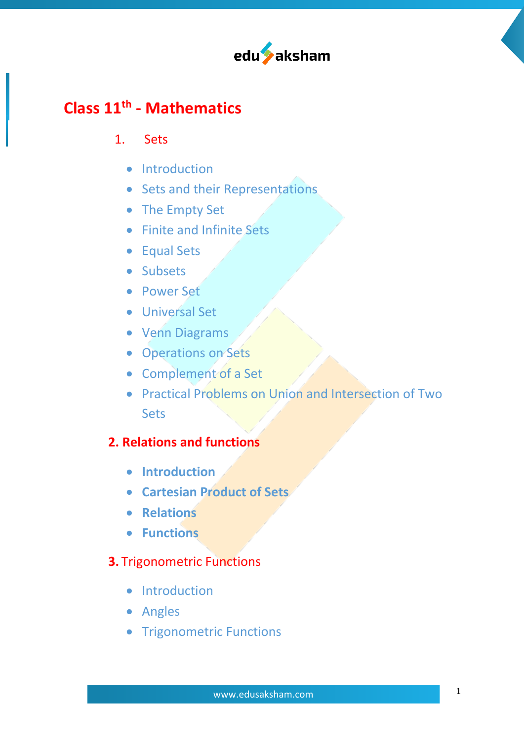

# **Class 11th - Mathematics**

#### 1. Sets

- Introduction
- Sets and their Representations
- The Empty Set
- Finite and Infinite Sets
- Equal Sets
- Subsets
- Power Set
- Universal Set
- Venn Diagrams
- Operations on Sets
- Complement of a Set
- Practical Problems on Union and Intersection of Two **Sets**

## **2. Relations and functions**

- **Introduction**
- **Cartesian Product of Sets**
- **Relations**
- **Functions**

## **3.** Trigonometric Functions

- Introduction
- Angles
- Trigonometric Functions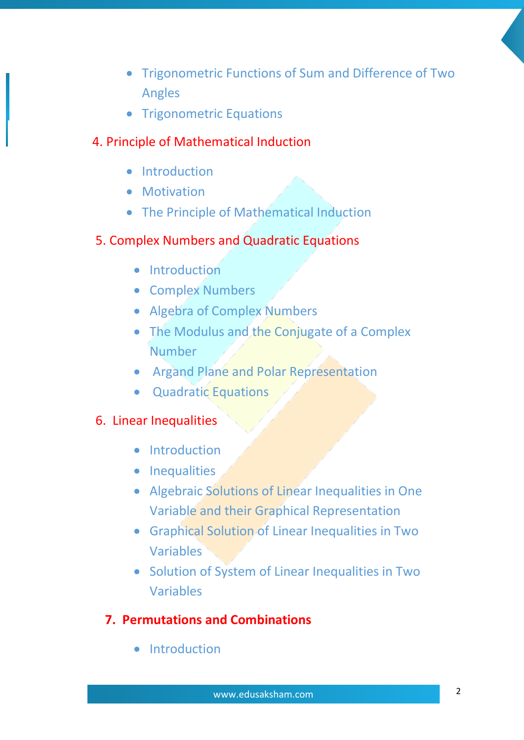- Trigonometric Functions of Sum and Difference of Two Angles
- Trigonometric Equations

#### 4. Principle of Mathematical Induction

- **Introduction**
- **Motivation**
- The Principle of Mathematical Induction

#### 5. Complex Numbers and Quadratic Equations

- Introduction
- Complex Numbers
- Algebra of Complex Numbers
- The Modulus and the Conjugate of a Complex Number
- Argand Plane and Polar Representation
- Quadratic Equations

#### 6. Linear Inequalities

- Introduction
- Inequalities
- Algebraic Solutions of Linear Inequalities in One Variable and their Graphical Representation
- Graphical Solution of Linear Inequalities in Two Variables
- Solution of System of Linear Inequalities in Two Variables

#### **7. Permutations and Combinations**

• Introduction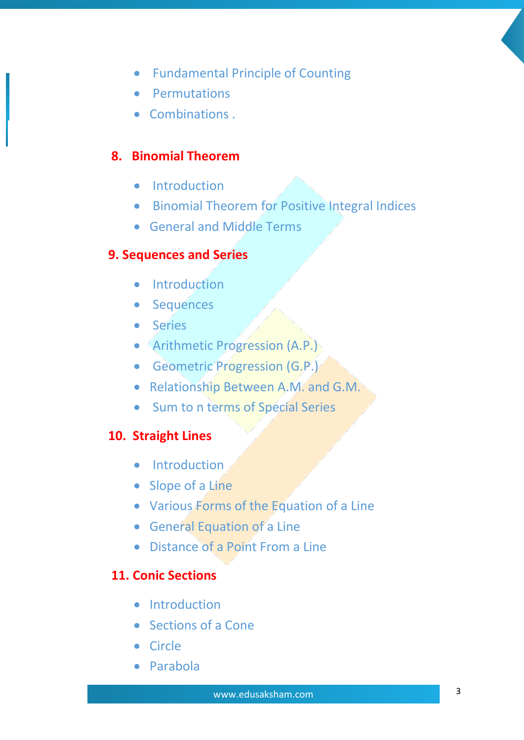- Fundamental Principle of Counting
- Permutations
- Combinations .

### **8. Binomial Theorem**

- Introduction
- Binomial Theorem for Positive Integral Indices
- General and Middle Terms

#### **9. Sequences and Series**

- **•** Introduction
- Sequences
- Series
- Arithmetic Progression (A.P.)
- Geometric Progression (G.P.)
- Relationship Between A.M. and G.M.
- Sum to n terms of Special Series

#### **10. Straight Lines**

- Introduction
- Slope of a Line
- Various Forms of the Equation of a Line
- General Equation of a Line
- Distance of a Point From a Line

### **11. Conic Sections**

- **•** Introduction
- Sections of a Cone
- Circle
- Parabola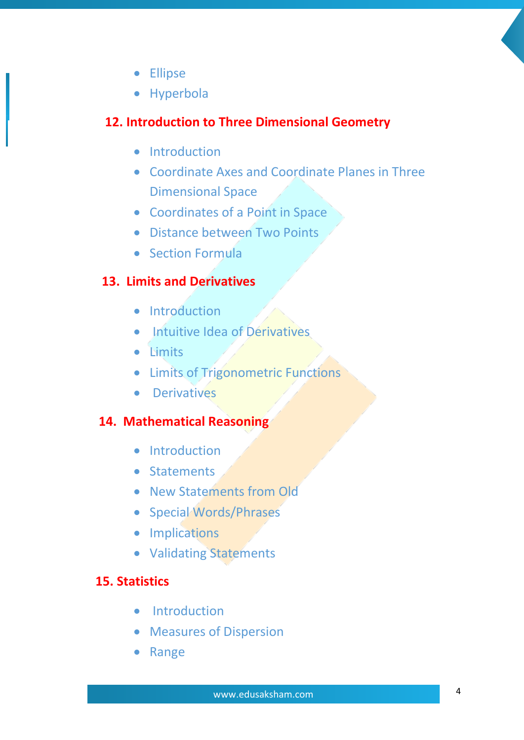- Ellipse
- Hyperbola

# **12. Introduction to Three Dimensional Geometry**

- Introduction
- Coordinate Axes and Coordinate Planes in Three Dimensional Space
- Coordinates of a Point in Space
- Distance between Two Points
- Section Formula

# **13. Limits and Derivatives**

- Introduction
- Intuitive Idea of Dérivatives
- Limits
- Limits of Trigonometric Functions
- Derivatives

# **14. Mathematical Reasoning**

- Introduction
- Statements
- New Statements from Old
- Special Words/Phrases
- Implications
- Validating Statements

## **15. Statistics**

- Introduction
- Measures of Dispersion
- Range